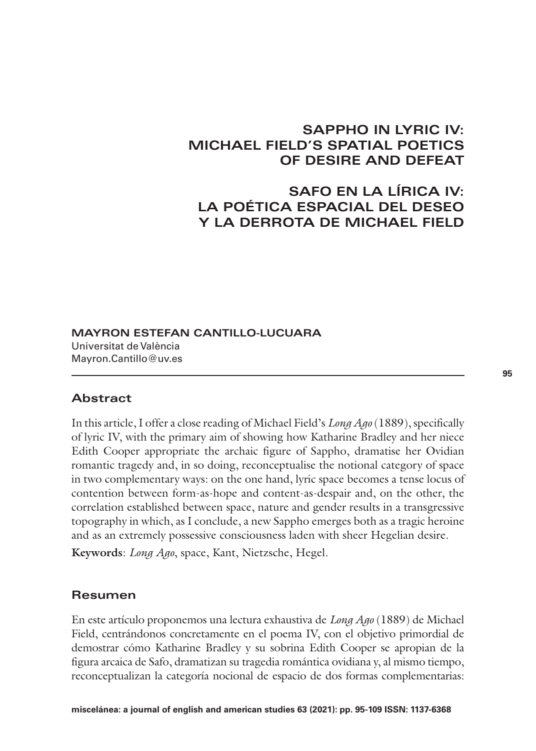## **SAPPHO IN LYRIC IV: MICHAEL FIELD'S SPATIAL POETICS OF DESIRE AND DEFEAT**

# **SAFO EN LA LÍRICA IV: LA POÉTICA ESPACIAL DEL DESEO Y LA DERROTA DE MICHAEL FIELD**

**MAYRON ESTEFAN CANTILLO-LUCUARA** Universitat de València Mayron.Cantillo@uv.es

## **Abstract**

In this article, I offer a close reading of Michael Field's *Long Ago* (1889), specifically of lyric IV, with the primary aim of showing how Katharine Bradley and her niece Edith Cooper appropriate the archaic figure of Sappho, dramatise her Ovidian romantic tragedy and, in so doing, reconceptualise the notional category of space in two complementary ways: on the one hand, lyric space becomes a tense locus of contention between form-as-hope and content-as-despair and, on the other, the correlation established between space, nature and gender results in a transgressive topography in which, as I conclude, a new Sappho emerges both as a tragic heroine and as an extremely possessive consciousness laden with sheer Hegelian desire.

**Keywords**: *Long Ago*, space, Kant, Nietzsche, Hegel.

### **Resumen**

En este artículo proponemos una lectura exhaustiva de *Long Ago* (1889) de Michael Field, centrándonos concretamente en el poema IV, con el objetivo primordial de demostrar cómo Katharine Bradley y su sobrina Edith Cooper se apropian de la figura arcaica de Safo, dramatizan su tragedia romántica ovidiana y, al mismo tiempo, reconceptualizan la categoría nocional de espacio de dos formas complementarias: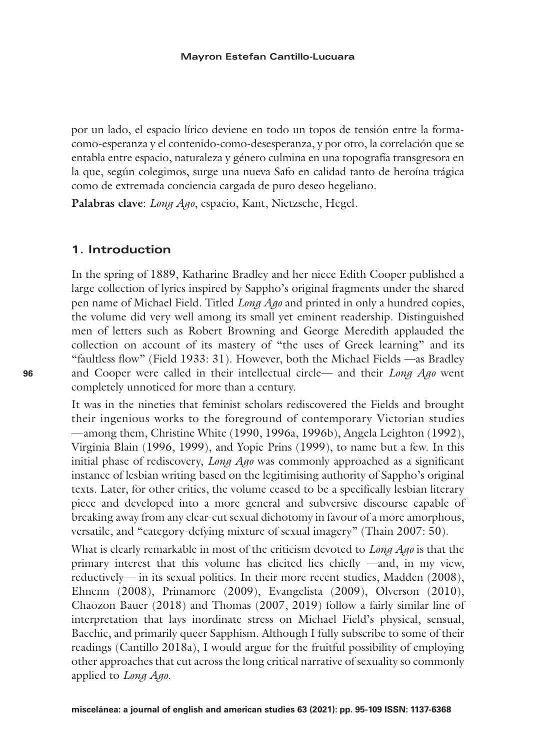por un lado, el espacio lírico deviene en todo un topos de tensión entre la formacomo-esperanza y el contenido-como-desesperanza, y por otro, la correlación que se entabla entre espacio, naturaleza y género culmina en una topografía transgresora en la que, según colegimos, surge una nueva Safo en calidad tanto de heroína trágica como de extremada conciencia cargada de puro deseo hegeliano.

**Palabras clave**: *Long Ago*, espacio, Kant, Nietzsche, Hegel.

## **1. Introduction**

In the spring of 1889, Katharine Bradley and her niece Edith Cooper published a large collection of lyrics inspired by Sappho's original fragments under the shared pen name of Michael Field. Titled *Long Ago* and printed in only a hundred copies, the volume did very well among its small yet eminent readership. Distinguished men of letters such as Robert Browning and George Meredith applauded the collection on account of its mastery of "the uses of Greek learning" and its "faultless flow" (Field 1933: 31). However, both the Michael Fields —as Bradley and Cooper were called in their intellectual circle— and their *Long Ago* went completely unnoticed for more than a century.

It was in the nineties that feminist scholars rediscovered the Fields and brought their ingenious works to the foreground of contemporary Victorian studies —among them, Christine White (1990, 1996a, 1996b), Angela Leighton (1992), Virginia Blain (1996, 1999), and Yopie Prins (1999), to name but a few. In this initial phase of rediscovery, *Long Ago* was commonly approached as a significant instance of lesbian writing based on the legitimising authority of Sappho's original texts. Later, for other critics, the volume ceased to be a specifically lesbian literary piece and developed into a more general and subversive discourse capable of breaking away from any clear-cut sexual dichotomy in favour of a more amorphous, versatile, and "category-defying mixture of sexual imagery" (Thain 2007: 50).

What is clearly remarkable in most of the criticism devoted to *Long Ago* is that the primary interest that this volume has elicited lies chiefly —and, in my view, reductively— in its sexual politics. In their more recent studies, Madden (2008), Ehnenn (2008), Primamore (2009), Evangelista (2009), Olverson (2010), Chaozon Bauer (2018) and Thomas (2007, 2019) follow a fairly similar line of interpretation that lays inordinate stress on Michael Field's physical, sensual, Bacchic, and primarily queer Sapphism. Although I fully subscribe to some of their readings (Cantillo 2018a), I would argue for the fruitful possibility of employing other approaches that cut across the long critical narrative of sexuality so commonly applied to *Long Ago*.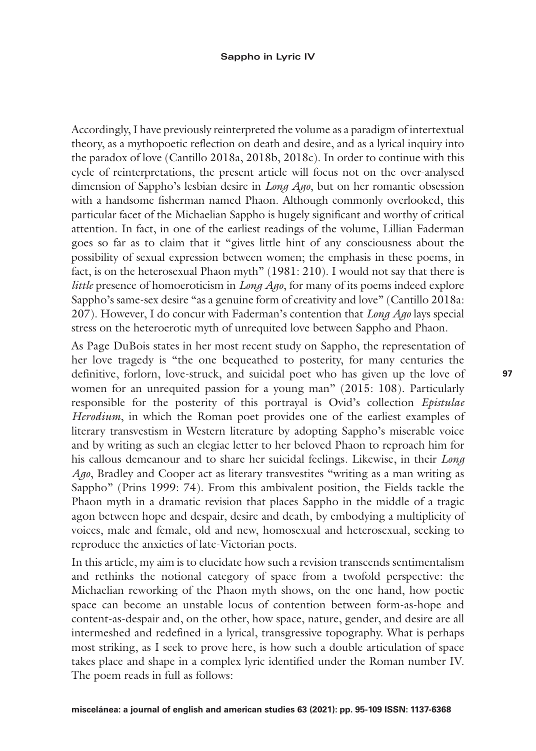#### **Sappho in Lyric IV**

Accordingly, I have previously reinterpreted the volume as a paradigm of intertextual theory, as a mythopoetic reflection on death and desire, and as a lyrical inquiry into the paradox of love (Cantillo 2018a, 2018b, 2018c). In order to continue with this cycle of reinterpretations, the present article will focus not on the over-analysed dimension of Sappho's lesbian desire in *Long Ago*, but on her romantic obsession with a handsome fisherman named Phaon. Although commonly overlooked, this particular facet of the Michaelian Sappho is hugely significant and worthy of critical attention. In fact, in one of the earliest readings of the volume, Lillian Faderman goes so far as to claim that it "gives little hint of any consciousness about the possibility of sexual expression between women; the emphasis in these poems, in fact, is on the heterosexual Phaon myth" (1981: 210). I would not say that there is *little* presence of homoeroticism in *Long Ago*, for many of its poems indeed explore Sappho's same-sex desire "as a genuine form of creativity and love" (Cantillo 2018a: 207). However, I do concur with Faderman's contention that *Long Ago* lays special stress on the heteroerotic myth of unrequited love between Sappho and Phaon.

As Page DuBois states in her most recent study on Sappho, the representation of her love tragedy is "the one bequeathed to posterity, for many centuries the definitive, forlorn, love-struck, and suicidal poet who has given up the love of women for an unrequited passion for a young man" (2015: 108). Particularly responsible for the posterity of this portrayal is Ovid's collection *Epistulae Herodium*, in which the Roman poet provides one of the earliest examples of literary transvestism in Western literature by adopting Sappho's miserable voice and by writing as such an elegiac letter to her beloved Phaon to reproach him for his callous demeanour and to share her suicidal feelings. Likewise, in their *Long Ago*, Bradley and Cooper act as literary transvestites "writing as a man writing as Sappho" (Prins 1999: 74). From this ambivalent position, the Fields tackle the Phaon myth in a dramatic revision that places Sappho in the middle of a tragic agon between hope and despair, desire and death, by embodying a multiplicity of voices, male and female, old and new, homosexual and heterosexual, seeking to reproduce the anxieties of late-Victorian poets.

In this article, my aim is to elucidate how such a revision transcends sentimentalism and rethinks the notional category of space from a twofold perspective: the Michaelian reworking of the Phaon myth shows, on the one hand, how poetic space can become an unstable locus of contention between form-as-hope and content-as-despair and, on the other, how space, nature, gender, and desire are all intermeshed and redefined in a lyrical, transgressive topography. What is perhaps most striking, as I seek to prove here, is how such a double articulation of space takes place and shape in a complex lyric identified under the Roman number IV. The poem reads in full as follows: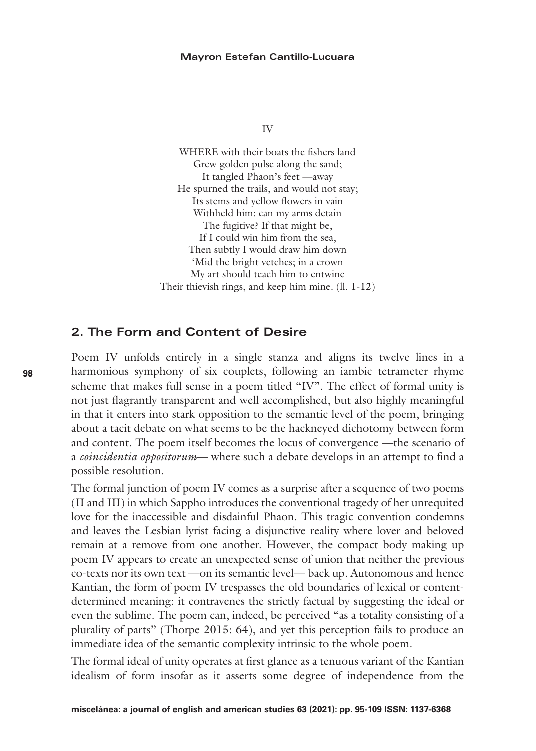#### **Mayron Estefan Cantillo-Lucuara**

IV

WHERE with their boats the fishers land Grew golden pulse along the sand; It tangled Phaon's feet —away He spurned the trails, and would not stay; Its stems and yellow flowers in vain Withheld him: can my arms detain The fugitive? If that might be, If I could win him from the sea, Then subtly I would draw him down 'Mid the bright vetches; in a crown My art should teach him to entwine Their thievish rings, and keep him mine. (ll. 1-12)

## **2. The Form and Content of Desire**

Poem IV unfolds entirely in a single stanza and aligns its twelve lines in a harmonious symphony of six couplets, following an iambic tetrameter rhyme scheme that makes full sense in a poem titled "IV". The effect of formal unity is not just flagrantly transparent and well accomplished, but also highly meaningful in that it enters into stark opposition to the semantic level of the poem, bringing about a tacit debate on what seems to be the hackneyed dichotomy between form and content. The poem itself becomes the locus of convergence —the scenario of a *coincidentia oppositorum*— where such a debate develops in an attempt to find a possible resolution.

The formal junction of poem IV comes as a surprise after a sequence of two poems (II and III) in which Sappho introduces the conventional tragedy of her unrequited love for the inaccessible and disdainful Phaon. This tragic convention condemns and leaves the Lesbian lyrist facing a disjunctive reality where lover and beloved remain at a remove from one another. However, the compact body making up poem IV appears to create an unexpected sense of union that neither the previous co-texts nor its own text —on its semantic level— back up. Autonomous and hence Kantian, the form of poem IV trespasses the old boundaries of lexical or contentdetermined meaning: it contravenes the strictly factual by suggesting the ideal or even the sublime. The poem can, indeed, be perceived "as a totality consisting of a plurality of parts" (Thorpe 2015: 64), and yet this perception fails to produce an immediate idea of the semantic complexity intrinsic to the whole poem.

The formal ideal of unity operates at first glance as a tenuous variant of the Kantian idealism of form insofar as it asserts some degree of independence from the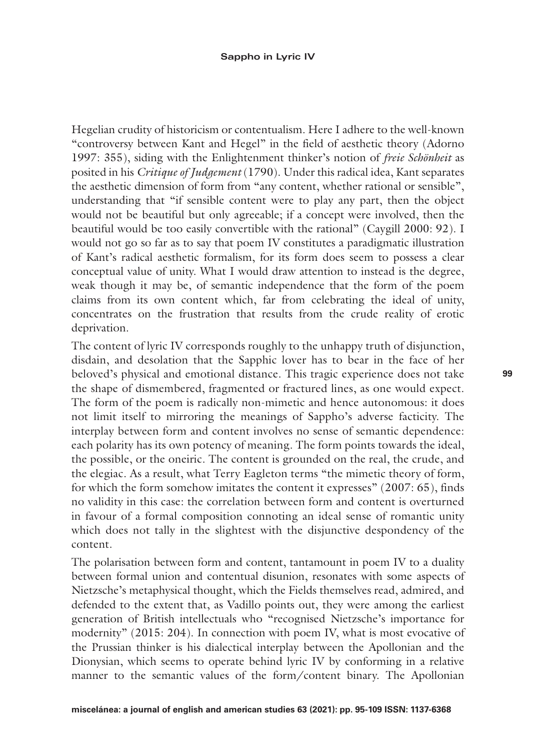Hegelian crudity of historicism or contentualism. Here I adhere to the well-known "controversy between Kant and Hegel" in the field of aesthetic theory (Adorno 1997: 355), siding with the Enlightenment thinker's notion of *freie Schönheit* as posited in his *Critique of Judgement* (1790). Under this radical idea, Kant separates the aesthetic dimension of form from "any content, whether rational or sensible", understanding that "if sensible content were to play any part, then the object would not be beautiful but only agreeable; if a concept were involved, then the beautiful would be too easily convertible with the rational" (Caygill 2000: 92). I would not go so far as to say that poem IV constitutes a paradigmatic illustration of Kant's radical aesthetic formalism, for its form does seem to possess a clear conceptual value of unity. What I would draw attention to instead is the degree, weak though it may be, of semantic independence that the form of the poem claims from its own content which, far from celebrating the ideal of unity, concentrates on the frustration that results from the crude reality of erotic deprivation.

The content of lyric IV corresponds roughly to the unhappy truth of disjunction, disdain, and desolation that the Sapphic lover has to bear in the face of her beloved's physical and emotional distance. This tragic experience does not take the shape of dismembered, fragmented or fractured lines, as one would expect. The form of the poem is radically non-mimetic and hence autonomous: it does not limit itself to mirroring the meanings of Sappho's adverse facticity. The interplay between form and content involves no sense of semantic dependence: each polarity has its own potency of meaning. The form points towards the ideal, the possible, or the oneiric. The content is grounded on the real, the crude, and the elegiac. As a result, what Terry Eagleton terms "the mimetic theory of form, for which the form somehow imitates the content it expresses" (2007: 65), finds no validity in this case: the correlation between form and content is overturned in favour of a formal composition connoting an ideal sense of romantic unity which does not tally in the slightest with the disjunctive despondency of the content.

The polarisation between form and content, tantamount in poem IV to a duality between formal union and contentual disunion, resonates with some aspects of Nietzsche's metaphysical thought, which the Fields themselves read, admired, and defended to the extent that, as Vadillo points out, they were among the earliest generation of British intellectuals who "recognised Nietzsche's importance for modernity" (2015: 204). In connection with poem IV, what is most evocative of the Prussian thinker is his dialectical interplay between the Apollonian and the Dionysian, which seems to operate behind lyric IV by conforming in a relative manner to the semantic values of the form/content binary. The Apollonian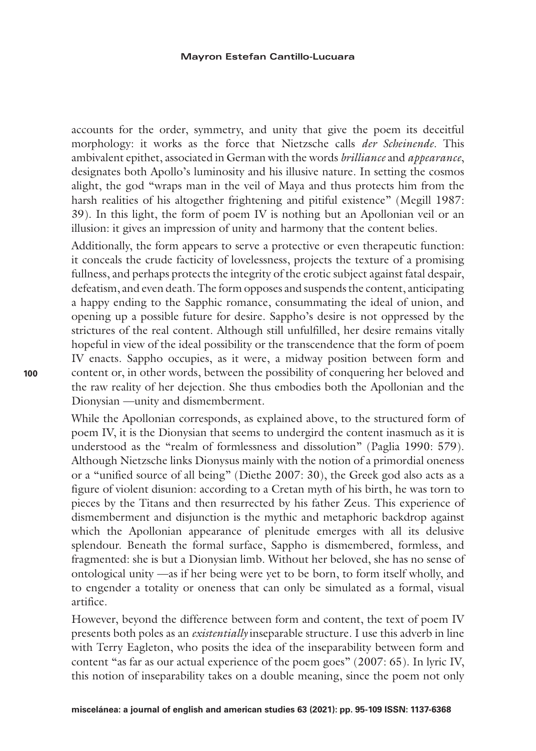accounts for the order, symmetry, and unity that give the poem its deceitful morphology: it works as the force that Nietzsche calls *der Scheinende*. This ambivalent epithet, associated in German with the words *brilliance* and *appearance*, designates both Apollo's luminosity and his illusive nature. In setting the cosmos alight, the god "wraps man in the veil of Maya and thus protects him from the harsh realities of his altogether frightening and pitiful existence" (Megill 1987: 39). In this light, the form of poem IV is nothing but an Apollonian veil or an illusion: it gives an impression of unity and harmony that the content belies.

Additionally, the form appears to serve a protective or even therapeutic function: it conceals the crude facticity of lovelessness, projects the texture of a promising fullness, and perhaps protects the integrity of the erotic subject against fatal despair, defeatism, and even death. The form opposes and suspends the content, anticipating a happy ending to the Sapphic romance, consummating the ideal of union, and opening up a possible future for desire. Sappho's desire is not oppressed by the strictures of the real content. Although still unfulfilled, her desire remains vitally hopeful in view of the ideal possibility or the transcendence that the form of poem IV enacts. Sappho occupies, as it were, a midway position between form and content or, in other words, between the possibility of conquering her beloved and the raw reality of her dejection. She thus embodies both the Apollonian and the Dionysian —unity and dismemberment.

While the Apollonian corresponds, as explained above, to the structured form of poem IV, it is the Dionysian that seems to undergird the content inasmuch as it is understood as the "realm of formlessness and dissolution" (Paglia 1990: 579). Although Nietzsche links Dionysus mainly with the notion of a primordial oneness or a "unified source of all being" (Diethe 2007: 30), the Greek god also acts as a figure of violent disunion: according to a Cretan myth of his birth, he was torn to pieces by the Titans and then resurrected by his father Zeus. This experience of dismemberment and disjunction is the mythic and metaphoric backdrop against which the Apollonian appearance of plenitude emerges with all its delusive splendour. Beneath the formal surface, Sappho is dismembered, formless, and fragmented: she is but a Dionysian limb. Without her beloved, she has no sense of ontological unity —as if her being were yet to be born, to form itself wholly, and to engender a totality or oneness that can only be simulated as a formal, visual artifice.

However, beyond the difference between form and content, the text of poem IV presents both poles as an *existentially* inseparable structure. I use this adverb in line with Terry Eagleton, who posits the idea of the inseparability between form and content "as far as our actual experience of the poem goes" (2007: 65). In lyric IV, this notion of inseparability takes on a double meaning, since the poem not only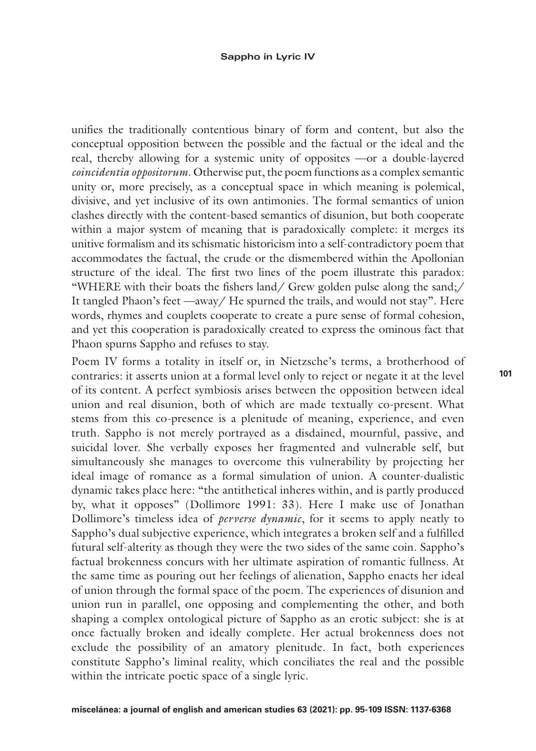unifies the traditionally contentious binary of form and content, but also the conceptual opposition between the possible and the factual or the ideal and the real, thereby allowing for a systemic unity of opposites —or a double-layered *coincidentia oppositorum*. Otherwise put, the poem functions as a complex semantic unity or, more precisely, as a conceptual space in which meaning is polemical, divisive, and yet inclusive of its own antimonies. The formal semantics of union clashes directly with the content-based semantics of disunion, but both cooperate within a major system of meaning that is paradoxically complete: it merges its unitive formalism and its schismatic historicism into a self-contradictory poem that accommodates the factual, the crude or the dismembered within the Apollonian structure of the ideal. The first two lines of the poem illustrate this paradox: "WHERE with their boats the fishers land/ Grew golden pulse along the sand;/ It tangled Phaon's feet —away/ He spurned the trails, and would not stay". Here words, rhymes and couplets cooperate to create a pure sense of formal cohesion, and yet this cooperation is paradoxically created to express the ominous fact that Phaon spurns Sappho and refuses to stay.

Poem IV forms a totality in itself or, in Nietzsche's terms, a brotherhood of contraries: it asserts union at a formal level only to reject or negate it at the level of its content. A perfect symbiosis arises between the opposition between ideal union and real disunion, both of which are made textually co-present. What stems from this co-presence is a plenitude of meaning, experience, and even truth. Sappho is not merely portrayed as a disdained, mournful, passive, and suicidal lover. She verbally exposes her fragmented and vulnerable self, but simultaneously she manages to overcome this vulnerability by projecting her ideal image of romance as a formal simulation of union. A counter-dualistic dynamic takes place here: "the antithetical inheres within, and is partly produced by, what it opposes" (Dollimore 1991: 33). Here I make use of Jonathan Dollimore's timeless idea of *perverse dynamic*, for it seems to apply neatly to Sappho's dual subjective experience, which integrates a broken self and a fulfilled futural self-alterity as though they were the two sides of the same coin. Sappho's factual brokenness concurs with her ultimate aspiration of romantic fullness. At the same time as pouring out her feelings of alienation, Sappho enacts her ideal of union through the formal space of the poem. The experiences of disunion and union run in parallel, one opposing and complementing the other, and both shaping a complex ontological picture of Sappho as an erotic subject: she is at once factually broken and ideally complete. Her actual brokenness does not exclude the possibility of an amatory plenitude. In fact, both experiences constitute Sappho's liminal reality, which conciliates the real and the possible within the intricate poetic space of a single lyric.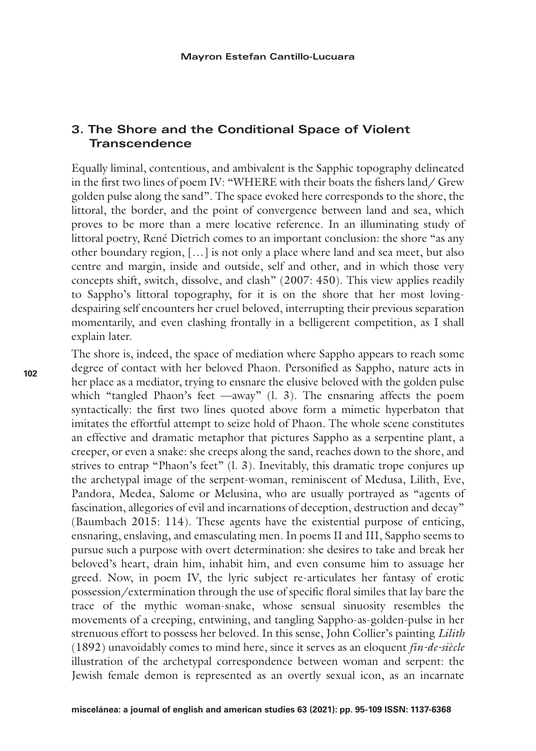## **3. The Shore and the Conditional Space of Violent Transcendence**

Equally liminal, contentious, and ambivalent is the Sapphic topography delineated in the first two lines of poem IV: "WHERE with their boats the fishers land/ Grew golden pulse along the sand". The space evoked here corresponds to the shore, the littoral, the border, and the point of convergence between land and sea, which proves to be more than a mere locative reference. In an illuminating study of littoral poetry, René Dietrich comes to an important conclusion: the shore "as any other boundary region, […] is not only a place where land and sea meet, but also centre and margin, inside and outside, self and other, and in which those very concepts shift, switch, dissolve, and clash" (2007: 450). This view applies readily to Sappho's littoral topography, for it is on the shore that her most lovingdespairing self encounters her cruel beloved, interrupting their previous separation momentarily, and even clashing frontally in a belligerent competition, as I shall explain later.

The shore is, indeed, the space of mediation where Sappho appears to reach some degree of contact with her beloved Phaon. Personified as Sappho, nature acts in her place as a mediator, trying to ensnare the elusive beloved with the golden pulse which "tangled Phaon's feet —away" (l. 3). The ensnaring affects the poem syntactically: the first two lines quoted above form a mimetic hyperbaton that imitates the effortful attempt to seize hold of Phaon. The whole scene constitutes an effective and dramatic metaphor that pictures Sappho as a serpentine plant, a creeper, or even a snake: she creeps along the sand, reaches down to the shore, and strives to entrap "Phaon's feet" (l. 3). Inevitably, this dramatic trope conjures up the archetypal image of the serpent-woman, reminiscent of Medusa, Lilith, Eve, Pandora, Medea, Salome or Melusina, who are usually portrayed as "agents of fascination, allegories of evil and incarnations of deception, destruction and decay" (Baumbach 2015: 114). These agents have the existential purpose of enticing, ensnaring, enslaving, and emasculating men. In poems II and III, Sappho seems to pursue such a purpose with overt determination: she desires to take and break her beloved's heart, drain him, inhabit him, and even consume him to assuage her greed. Now, in poem IV, the lyric subject re-articulates her fantasy of erotic possession/extermination through the use of specific floral similes that lay bare the trace of the mythic woman-snake, whose sensual sinuosity resembles the movements of a creeping, entwining, and tangling Sappho-as-golden-pulse in her strenuous effort to possess her beloved. In this sense, John Collier's painting *Lilith* (1892) unavoidably comes to mind here, since it serves as an eloquent *fin-de-siècle* illustration of the archetypal correspondence between woman and serpent: the Jewish female demon is represented as an overtly sexual icon, as an incarnate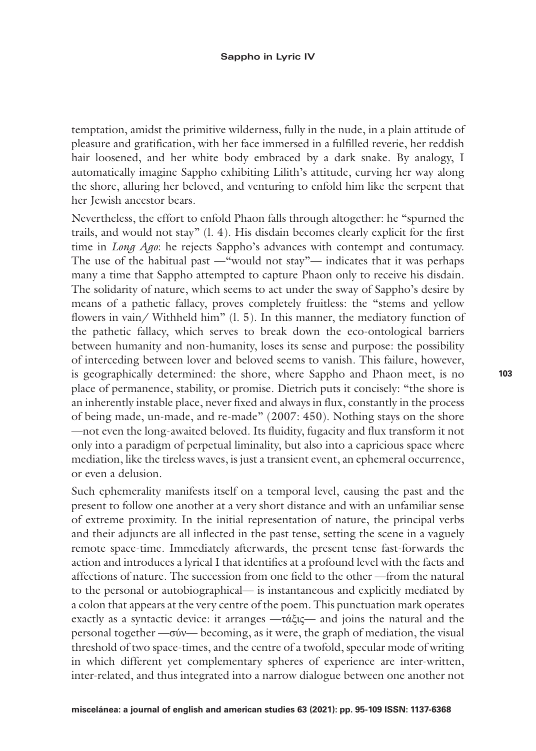temptation, amidst the primitive wilderness, fully in the nude, in a plain attitude of pleasure and gratification, with her face immersed in a fulfilled reverie, her reddish hair loosened, and her white body embraced by a dark snake. By analogy, I automatically imagine Sappho exhibiting Lilith's attitude, curving her way along the shore, alluring her beloved, and venturing to enfold him like the serpent that her Jewish ancestor bears.

Nevertheless, the effort to enfold Phaon falls through altogether: he "spurned the trails, and would not stay" (l. 4). His disdain becomes clearly explicit for the first time in *Long Ago*: he rejects Sappho's advances with contempt and contumacy. The use of the habitual past —"would not stay"— indicates that it was perhaps many a time that Sappho attempted to capture Phaon only to receive his disdain. The solidarity of nature, which seems to act under the sway of Sappho's desire by means of a pathetic fallacy, proves completely fruitless: the "stems and yellow flowers in vain/ Withheld him" (l. 5). In this manner, the mediatory function of the pathetic fallacy, which serves to break down the eco-ontological barriers between humanity and non-humanity, loses its sense and purpose: the possibility of interceding between lover and beloved seems to vanish. This failure, however, is geographically determined: the shore, where Sappho and Phaon meet, is no place of permanence, stability, or promise. Dietrich puts it concisely: "the shore is an inherently instable place, never fixed and always in flux, constantly in the process of being made, un-made, and re-made" (2007: 450). Nothing stays on the shore —not even the long-awaited beloved. Its fluidity, fugacity and flux transform it not only into a paradigm of perpetual liminality, but also into a capricious space where mediation, like the tireless waves, is just a transient event, an ephemeral occurrence, or even a delusion.

Such ephemerality manifests itself on a temporal level, causing the past and the present to follow one another at a very short distance and with an unfamiliar sense of extreme proximity. In the initial representation of nature, the principal verbs and their adjuncts are all inflected in the past tense, setting the scene in a vaguely remote space-time. Immediately afterwards, the present tense fast-forwards the action and introduces a lyrical I that identifies at a profound level with the facts and affections of nature. The succession from one field to the other —from the natural to the personal or autobiographical— is instantaneous and explicitly mediated by a colon that appears at the very centre of the poem. This punctuation mark operates exactly as a syntactic device: it arranges —τάξις— and joins the natural and the personal together —σύν— becoming, as it were, the graph of mediation, the visual threshold of two space-times, and the centre of a twofold, specular mode of writing in which different yet complementary spheres of experience are inter-written, inter-related, and thus integrated into a narrow dialogue between one another not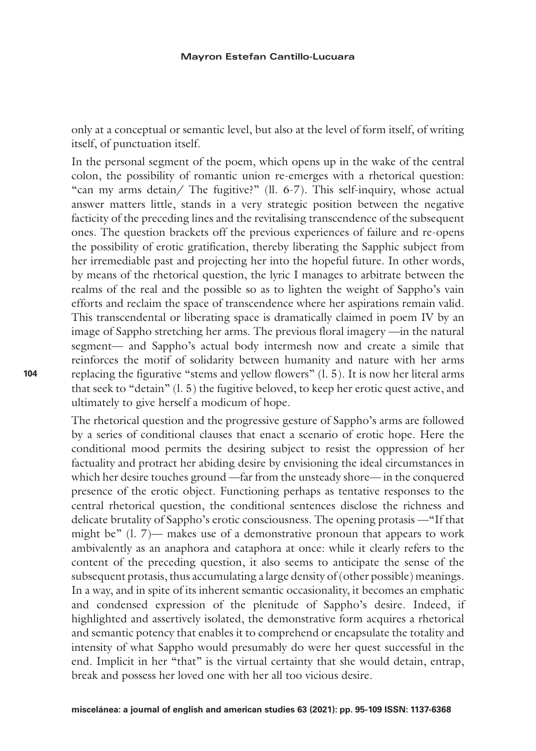only at a conceptual or semantic level, but also at the level of form itself, of writing itself, of punctuation itself.

In the personal segment of the poem, which opens up in the wake of the central colon, the possibility of romantic union re-emerges with a rhetorical question: "can my arms detain/ The fugitive?" (ll. 6-7). This self-inquiry, whose actual answer matters little, stands in a very strategic position between the negative facticity of the preceding lines and the revitalising transcendence of the subsequent ones. The question brackets off the previous experiences of failure and re-opens the possibility of erotic gratification, thereby liberating the Sapphic subject from her irremediable past and projecting her into the hopeful future. In other words, by means of the rhetorical question, the lyric I manages to arbitrate between the realms of the real and the possible so as to lighten the weight of Sappho's vain efforts and reclaim the space of transcendence where her aspirations remain valid. This transcendental or liberating space is dramatically claimed in poem IV by an image of Sappho stretching her arms. The previous floral imagery —in the natural segment— and Sappho's actual body intermesh now and create a simile that reinforces the motif of solidarity between humanity and nature with her arms replacing the figurative "stems and yellow flowers" (l. 5). It is now her literal arms that seek to "detain" (l. 5) the fugitive beloved, to keep her erotic quest active, and ultimately to give herself a modicum of hope.

The rhetorical question and the progressive gesture of Sappho's arms are followed by a series of conditional clauses that enact a scenario of erotic hope. Here the conditional mood permits the desiring subject to resist the oppression of her factuality and protract her abiding desire by envisioning the ideal circumstances in which her desire touches ground —far from the unsteady shore— in the conquered presence of the erotic object. Functioning perhaps as tentative responses to the central rhetorical question, the conditional sentences disclose the richness and delicate brutality of Sappho's erotic consciousness. The opening protasis —"If that might be"  $(1, 7)$ — makes use of a demonstrative pronoun that appears to work ambivalently as an anaphora and cataphora at once: while it clearly refers to the content of the preceding question, it also seems to anticipate the sense of the subsequent protasis, thus accumulating a large density of (other possible) meanings. In a way, and in spite of its inherent semantic occasionality, it becomes an emphatic and condensed expression of the plenitude of Sappho's desire. Indeed, if highlighted and assertively isolated, the demonstrative form acquires a rhetorical and semantic potency that enables it to comprehend or encapsulate the totality and intensity of what Sappho would presumably do were her quest successful in the end. Implicit in her "that" is the virtual certainty that she would detain, entrap, break and possess her loved one with her all too vicious desire.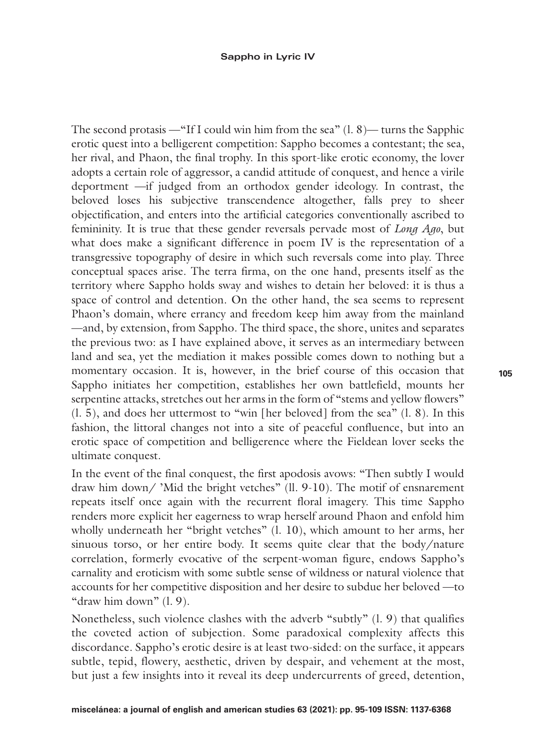The second protasis —"If I could win him from the sea"  $(1, 8)$ — turns the Sapphic erotic quest into a belligerent competition: Sappho becomes a contestant; the sea, her rival, and Phaon, the final trophy. In this sport-like erotic economy, the lover adopts a certain role of aggressor, a candid attitude of conquest, and hence a virile deportment —if judged from an orthodox gender ideology. In contrast, the beloved loses his subjective transcendence altogether, falls prey to sheer objectification, and enters into the artificial categories conventionally ascribed to femininity. It is true that these gender reversals pervade most of *Long Ago*, but what does make a significant difference in poem IV is the representation of a transgressive topography of desire in which such reversals come into play. Three conceptual spaces arise. The terra firma, on the one hand, presents itself as the territory where Sappho holds sway and wishes to detain her beloved: it is thus a space of control and detention. On the other hand, the sea seems to represent Phaon's domain, where errancy and freedom keep him away from the mainland —and, by extension, from Sappho. The third space, the shore, unites and separates the previous two: as I have explained above, it serves as an intermediary between land and sea, yet the mediation it makes possible comes down to nothing but a momentary occasion. It is, however, in the brief course of this occasion that Sappho initiates her competition, establishes her own battlefield, mounts her serpentine attacks, stretches out her arms in the form of "stems and yellow flowers"  $(1, 5)$ , and does her uttermost to "win [her beloved] from the sea"  $(1, 8)$ . In this fashion, the littoral changes not into a site of peaceful confluence, but into an erotic space of competition and belligerence where the Fieldean lover seeks the ultimate conquest.

In the event of the final conquest, the first apodosis avows: "Then subtly I would draw him down/ 'Mid the bright vetches" (ll. 9-10). The motif of ensnarement repeats itself once again with the recurrent floral imagery. This time Sappho renders more explicit her eagerness to wrap herself around Phaon and enfold him wholly underneath her "bright vetches" (l. 10), which amount to her arms, her sinuous torso, or her entire body. It seems quite clear that the body/nature correlation, formerly evocative of the serpent-woman figure, endows Sappho's carnality and eroticism with some subtle sense of wildness or natural violence that accounts for her competitive disposition and her desire to subdue her beloved —to "draw him down" (l. 9).

Nonetheless, such violence clashes with the adverb "subtly" (l. 9) that qualifies the coveted action of subjection. Some paradoxical complexity affects this discordance. Sappho's erotic desire is at least two-sided: on the surface, it appears subtle, tepid, flowery, aesthetic, driven by despair, and vehement at the most, but just a few insights into it reveal its deep undercurrents of greed, detention,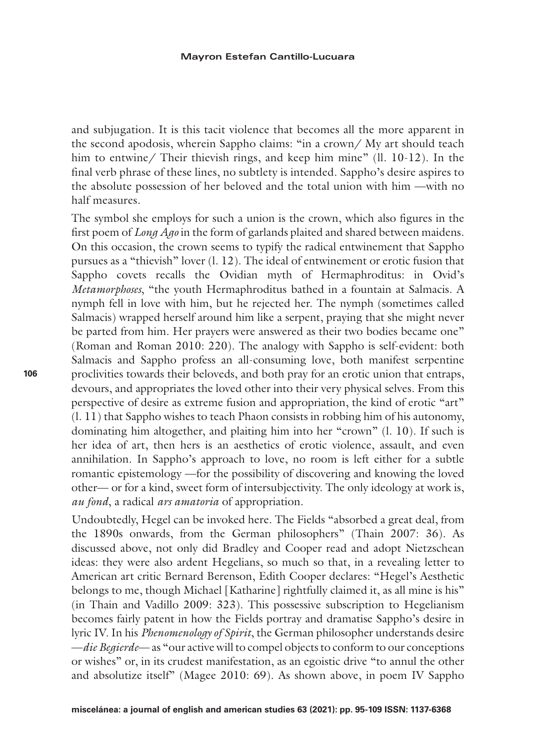and subjugation. It is this tacit violence that becomes all the more apparent in the second apodosis, wherein Sappho claims: "in a crown/ My art should teach him to entwine/ Their thievish rings, and keep him mine" (ll. 10-12). In the final verb phrase of these lines, no subtlety is intended. Sappho's desire aspires to the absolute possession of her beloved and the total union with him —with no half measures.

The symbol she employs for such a union is the crown, which also figures in the first poem of *Long Ago* in the form of garlands plaited and shared between maidens. On this occasion, the crown seems to typify the radical entwinement that Sappho pursues as a "thievish" lover (l. 12). The ideal of entwinement or erotic fusion that Sappho covets recalls the Ovidian myth of Hermaphroditus: in Ovid's *Metamorphoses*, "the youth Hermaphroditus bathed in a fountain at Salmacis. A nymph fell in love with him, but he rejected her. The nymph (sometimes called Salmacis) wrapped herself around him like a serpent, praying that she might never be parted from him. Her prayers were answered as their two bodies became one" (Roman and Roman 2010: 220). The analogy with Sappho is self-evident: both Salmacis and Sappho profess an all-consuming love, both manifest serpentine proclivities towards their beloveds, and both pray for an erotic union that entraps, devours, and appropriates the loved other into their very physical selves. From this perspective of desire as extreme fusion and appropriation, the kind of erotic "art" (l. 11) that Sappho wishes to teach Phaon consists in robbing him of his autonomy, dominating him altogether, and plaiting him into her "crown" (l. 10). If such is her idea of art, then hers is an aesthetics of erotic violence, assault, and even annihilation. In Sappho's approach to love, no room is left either for a subtle romantic epistemology —for the possibility of discovering and knowing the loved other— or for a kind, sweet form of intersubjectivity. The only ideology at work is, *au fond*, a radical *ars amatoria* of appropriation.

Undoubtedly, Hegel can be invoked here. The Fields "absorbed a great deal, from the 1890s onwards, from the German philosophers" (Thain 2007: 36). As discussed above, not only did Bradley and Cooper read and adopt Nietzschean ideas: they were also ardent Hegelians, so much so that, in a revealing letter to American art critic Bernard Berenson, Edith Cooper declares: "Hegel's Aesthetic belongs to me, though Michael [Katharine] rightfully claimed it, as all mine is his" (in Thain and Vadillo 2009: 323). This possessive subscription to Hegelianism becomes fairly patent in how the Fields portray and dramatise Sappho's desire in lyric IV. In his *Phenomenology of Spirit*, the German philosopher understands desire —*die Begierde*— as "our active will to compel objects to conform to our conceptions or wishes" or, in its crudest manifestation, as an egoistic drive "to annul the other and absolutize itself" (Magee 2010: 69). As shown above, in poem IV Sappho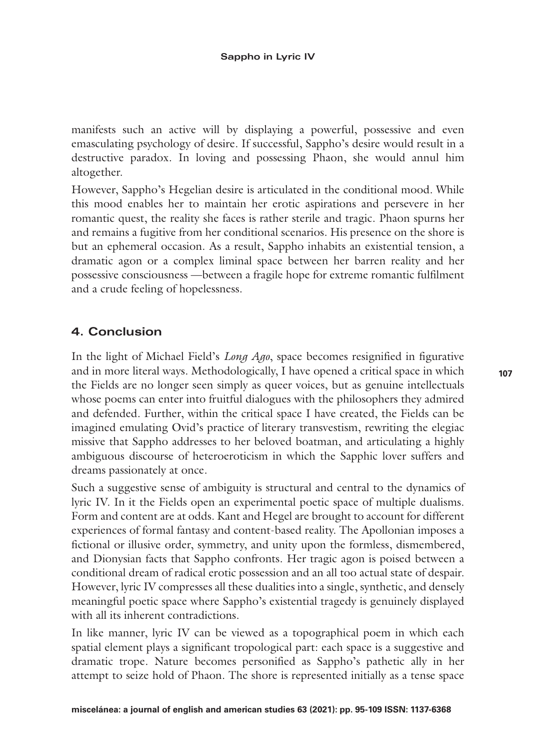manifests such an active will by displaying a powerful, possessive and even emasculating psychology of desire. If successful, Sappho's desire would result in a destructive paradox. In loving and possessing Phaon, she would annul him altogether.

However, Sappho's Hegelian desire is articulated in the conditional mood. While this mood enables her to maintain her erotic aspirations and persevere in her romantic quest, the reality she faces is rather sterile and tragic. Phaon spurns her and remains a fugitive from her conditional scenarios. His presence on the shore is but an ephemeral occasion. As a result, Sappho inhabits an existential tension, a dramatic agon or a complex liminal space between her barren reality and her possessive consciousness —between a fragile hope for extreme romantic fulfilment and a crude feeling of hopelessness.

## **4. Conclusion**

In the light of Michael Field's *Long Ago*, space becomes resignified in figurative and in more literal ways. Methodologically, I have opened a critical space in which the Fields are no longer seen simply as queer voices, but as genuine intellectuals whose poems can enter into fruitful dialogues with the philosophers they admired and defended. Further, within the critical space I have created, the Fields can be imagined emulating Ovid's practice of literary transvestism, rewriting the elegiac missive that Sappho addresses to her beloved boatman, and articulating a highly ambiguous discourse of heteroeroticism in which the Sapphic lover suffers and dreams passionately at once.

Such a suggestive sense of ambiguity is structural and central to the dynamics of lyric IV. In it the Fields open an experimental poetic space of multiple dualisms. Form and content are at odds. Kant and Hegel are brought to account for different experiences of formal fantasy and content-based reality. The Apollonian imposes a fictional or illusive order, symmetry, and unity upon the formless, dismembered, and Dionysian facts that Sappho confronts. Her tragic agon is poised between a conditional dream of radical erotic possession and an all too actual state of despair. However, lyric IV compresses all these dualities into a single, synthetic, and densely meaningful poetic space where Sappho's existential tragedy is genuinely displayed with all its inherent contradictions.

In like manner, lyric IV can be viewed as a topographical poem in which each spatial element plays a significant tropological part: each space is a suggestive and dramatic trope. Nature becomes personified as Sappho's pathetic ally in her attempt to seize hold of Phaon. The shore is represented initially as a tense space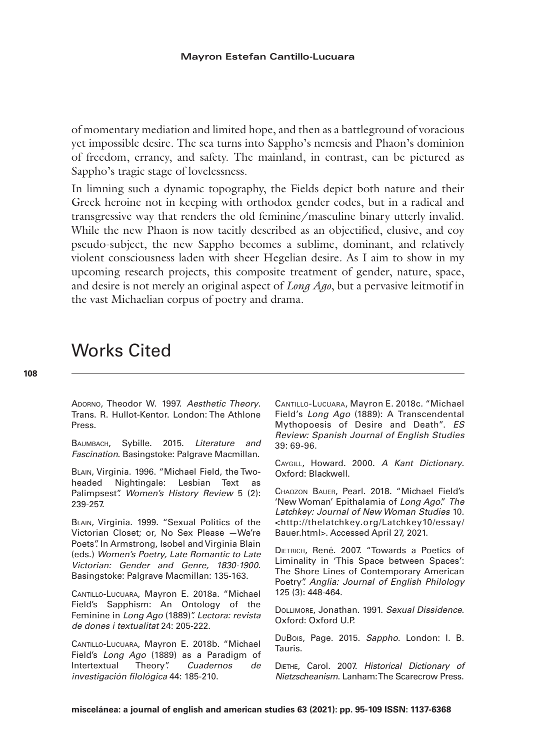of momentary mediation and limited hope, and then as a battleground of voracious yet impossible desire. The sea turns into Sappho's nemesis and Phaon's dominion of freedom, errancy, and safety. The mainland, in contrast, can be pictured as Sappho's tragic stage of lovelessness.

In limning such a dynamic topography, the Fields depict both nature and their Greek heroine not in keeping with orthodox gender codes, but in a radical and transgressive way that renders the old feminine/masculine binary utterly invalid. While the new Phaon is now tacitly described as an objectified, elusive, and coy pseudo-subject, the new Sappho becomes a sublime, dominant, and relatively violent consciousness laden with sheer Hegelian desire. As I aim to show in my upcoming research projects, this composite treatment of gender, nature, space, and desire is not merely an original aspect of *Long Ago*, but a pervasive leitmotif in the vast Michaelian corpus of poetry and drama.

# Works Cited

Adorno, Theodor W. 1997. *Aesthetic Theory*. Trans. R. Hullot-Kentor. London: The Athlone Press.

Baumbach, Sybille. 2015. *Literature and Fascination*. Basingstoke: Palgrave Macmillan.

Blain, Virginia. 1996. "Michael Field, the Twoheaded Nightingale: Lesbian Text as Palimpsest". *Women's History Review* 5 (2): 239-257.

Blain, Virginia. 1999. "Sexual Politics of the Victorian Closet; or, No Sex Please —We're Poets". In Armstrong, Isobel and Virginia Blain (eds.) *Women's Poetry, Late Romantic to Late Victorian: Gender and Genre, 1830-1900*. Basingstoke: Palgrave Macmillan: 135-163.

Cantillo-Lucuara, Mayron E. 2018a. "Michael Field's Sapphism: An Ontology of the Feminine in *Long Ago* (1889)". *Lectora: revista de dones i textualitat* 24: 205-222.

Cantillo-Lucuara, Mayron E. 2018b. "Michael Field's *Long Ago* (1889) as a Paradigm of Intertextual Theory". *Cuadernos de investigación filológica* 44: 185-210.

Cantillo-Lucuara, Mayron E. 2018c. "Michael Field's *Long Ago* (1889): A Transcendental Mythopoesis of Desire and Death". *ES Review: Spanish Journal of English Studies* 39: 69-96.

Caygill, Howard. 2000. *A Kant Dictionary*. Oxford: Blackwell.

Chaozon Bauer, Pearl. 2018. "Michael Field's 'New Woman' Epithalamia of *Long Ago*." *The Latchkey: Journal of New Woman Studies* 10. <http://thelatchkey.org/Latchkey10/essay/ Bauer.html>. Accessed April 27, 2021.

Dietrich, René. 2007. "Towards a Poetics of Liminality in 'This Space between Spaces': The Shore Lines of Contemporary American Poetry". *Anglia: Journal of English Philology* 125 (3): 448-464.

Dollimore, Jonathan. 1991. *Sexual Dissidence*. Oxford: Oxford U.P.

DuBois, Page. 2015. *Sappho*. London: I. B. Tauris.

Diethe, Carol. 2007. *Historical Dictionary of Nietzscheanism*. Lanham: The Scarecrow Press.